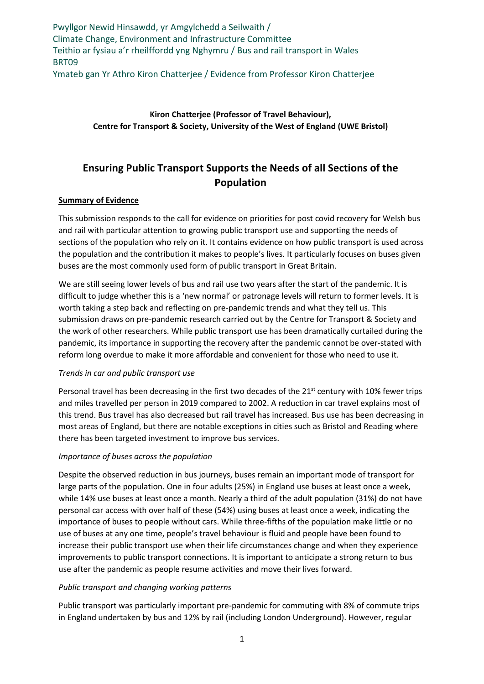Pwyllgor Newid Hinsawdd, yr Amgylchedd a Seilwaith / Climate Change, Environment and Infrastructure Committee Teithio ar fysiau a'r rheilffordd yng Nghymru / Bus and rail transport in Wales BRT09 Ymateb gan Yr Athro Kiron Chatterjee / Evidence from Professor Kiron Chatterjee

# **Kiron Chatterjee (Professor of Travel Behaviour), Centre for Transport & Society, University of the West of England (UWE Bristol)**

# **Ensuring Public Transport Supports the Needs of all Sections of the Population**

#### **Summary of Evidence**

This submission responds to the call for evidence on priorities for post covid recovery for Welsh bus and rail with particular attention to growing public transport use and supporting the needs of sections of the population who rely on it. It contains evidence on how public transport is used across the population and the contribution it makes to people's lives. It particularly focuses on buses given buses are the most commonly used form of public transport in Great Britain.

We are still seeing lower levels of bus and rail use two years after the start of the pandemic. It is difficult to judge whether this is a 'new normal' or patronage levels will return to former levels. It is worth taking a step back and reflecting on pre-pandemic trends and what they tell us. This submission draws on pre-pandemic research carried out by the Centre for Transport & Society and the work of other researchers. While public transport use has been dramatically curtailed during the pandemic, its importance in supporting the recovery after the pandemic cannot be over-stated with reform long overdue to make it more affordable and convenient for those who need to use it.

## *Trends in car and public transport use*

Personal travel has been decreasing in the first two decades of the  $21^{st}$  century with 10% fewer trips and miles travelled per person in 2019 compared to 2002. A reduction in car travel explains most of this trend. Bus travel has also decreased but rail travel has increased. Bus use has been decreasing in most areas of England, but there are notable exceptions in cities such as Bristol and Reading where there has been targeted investment to improve bus services.

## *Importance of buses across the population*

Despite the observed reduction in bus journeys, buses remain an important mode of transport for large parts of the population. One in four adults (25%) in England use buses at least once a week, while 14% use buses at least once a month. Nearly a third of the adult population (31%) do not have personal car access with over half of these (54%) using buses at least once a week, indicating the importance of buses to people without cars. While three-fifths of the population make little or no use of buses at any one time, people's travel behaviour is fluid and people have been found to increase their public transport use when their life circumstances change and when they experience improvements to public transport connections. It is important to anticipate a strong return to bus use after the pandemic as people resume activities and move their lives forward.

## *Public transport and changing working patterns*

Public transport was particularly important pre-pandemic for commuting with 8% of commute trips in England undertaken by bus and 12% by rail (including London Underground). However, regular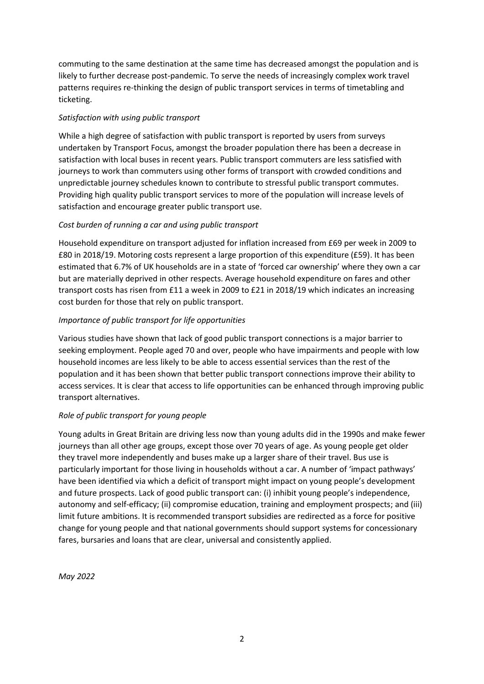commuting to the same destination at the same time has decreased amongst the population and is likely to further decrease post-pandemic. To serve the needs of increasingly complex work travel patterns requires re-thinking the design of public transport services in terms of timetabling and ticketing.

## *Satisfaction with using public transport*

While a high degree of satisfaction with public transport is reported by users from surveys undertaken by Transport Focus, amongst the broader population there has been a decrease in satisfaction with local buses in recent years. Public transport commuters are less satisfied with journeys to work than commuters using other forms of transport with crowded conditions and unpredictable journey schedules known to contribute to stressful public transport commutes. Providing high quality public transport services to more of the population will increase levels of satisfaction and encourage greater public transport use.

#### *Cost burden of running a car and using public transport*

Household expenditure on transport adjusted for inflation increased from £69 per week in 2009 to £80 in 2018/19. Motoring costs represent a large proportion of this expenditure (£59). It has been estimated that 6.7% of UK households are in a state of 'forced car ownership' where they own a car but are materially deprived in other respects. Average household expenditure on fares and other transport costs has risen from £11 a week in 2009 to £21 in 2018/19 which indicates an increasing cost burden for those that rely on public transport.

#### *Importance of public transport for life opportunities*

Various studies have shown that lack of good public transport connections is a major barrier to seeking employment. People aged 70 and over, people who have impairments and people with low household incomes are less likely to be able to access essential services than the rest of the population and it has been shown that better public transport connections improve their ability to access services. It is clear that access to life opportunities can be enhanced through improving public transport alternatives.

## *Role of public transport for young people*

Young adults in Great Britain are driving less now than young adults did in the 1990s and make fewer journeys than all other age groups, except those over 70 years of age. As young people get older they travel more independently and buses make up a larger share of their travel. Bus use is particularly important for those living in households without a car. A number of 'impact pathways' have been identified via which a deficit of transport might impact on young people's development and future prospects. Lack of good public transport can: (i) inhibit young people's independence, autonomy and self-efficacy; (ii) compromise education, training and employment prospects; and (iii) limit future ambitions. It is recommended transport subsidies are redirected as a force for positive change for young people and that national governments should support systems for concessionary fares, bursaries and loans that are clear, universal and consistently applied.

*May 2022*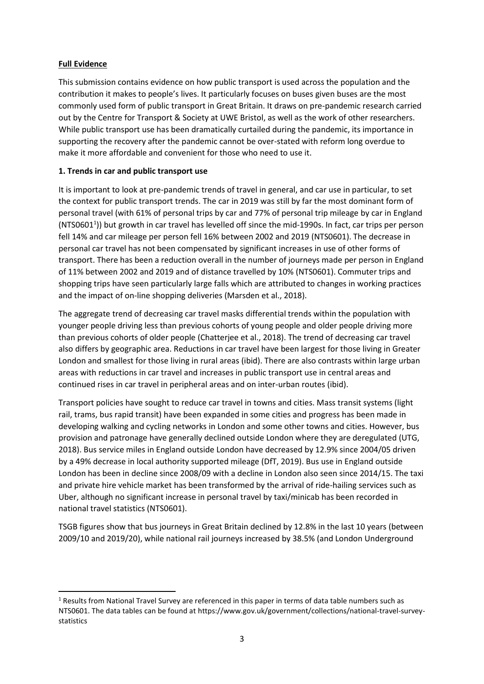## **Full Evidence**

**.** 

This submission contains evidence on how public transport is used across the population and the contribution it makes to people's lives. It particularly focuses on buses given buses are the most commonly used form of public transport in Great Britain. It draws on pre-pandemic research carried out by the Centre for Transport & Society at UWE Bristol, as well as the work of other researchers. While public transport use has been dramatically curtailed during the pandemic, its importance in supporting the recovery after the pandemic cannot be over-stated with reform long overdue to make it more affordable and convenient for those who need to use it.

# **1. Trends in car and public transport use**

It is important to look at pre-pandemic trends of travel in general, and car use in particular, to set the context for public transport trends. The car in 2019 was still by far the most dominant form of personal travel (with 61% of personal trips by car and 77% of personal trip mileage by car in England (NTS0601<sup>1</sup>)) but growth in car travel has levelled off since the mid-1990s. In fact, car trips per person fell 14% and car mileage per person fell 16% between 2002 and 2019 (NTS0601). The decrease in personal car travel has not been compensated by significant increases in use of other forms of transport. There has been a reduction overall in the number of journeys made per person in England of 11% between 2002 and 2019 and of distance travelled by 10% (NTS0601). Commuter trips and shopping trips have seen particularly large falls which are attributed to changes in working practices and the impact of on-line shopping deliveries (Marsden et al., 2018).

The aggregate trend of decreasing car travel masks differential trends within the population with younger people driving less than previous cohorts of young people and older people driving more than previous cohorts of older people (Chatterjee et al., 2018). The trend of decreasing car travel also differs by geographic area. Reductions in car travel have been largest for those living in Greater London and smallest for those living in rural areas (ibid). There are also contrasts within large urban areas with reductions in car travel and increases in public transport use in central areas and continued rises in car travel in peripheral areas and on inter-urban routes (ibid).

Transport policies have sought to reduce car travel in towns and cities. Mass transit systems (light rail, trams, bus rapid transit) have been expanded in some cities and progress has been made in developing walking and cycling networks in London and some other towns and cities. However, bus provision and patronage have generally declined outside London where they are deregulated (UTG, 2018). Bus service miles in England outside London have decreased by 12.9% since 2004/05 driven by a 49% decrease in local authority supported mileage (DfT, 2019). Bus use in England outside London has been in decline since 2008/09 with a decline in London also seen since 2014/15. The taxi and private hire vehicle market has been transformed by the arrival of ride-hailing services such as Uber, although no significant increase in personal travel by taxi/minicab has been recorded in national travel statistics (NTS0601).

TSGB figures show that bus journeys in Great Britain declined by 12.8% in the last 10 years (between 2009/10 and 2019/20), while national rail journeys increased by 38.5% (and London Underground

 $1$  Results from National Travel Survey are referenced in this paper in terms of data table numbers such as NTS0601. The data tables can be found at https://www.gov.uk/government/collections/national-travel-surveystatistics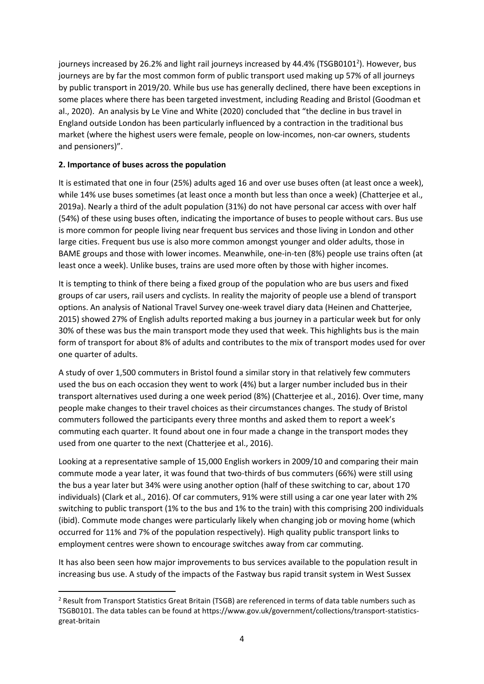journeys increased by 26.2% and light rail journeys increased by 44.4% (TSGB0101<sup>2</sup>). However, bus journeys are by far the most common form of public transport used making up 57% of all journeys by public transport in 2019/20. While bus use has generally declined, there have been exceptions in some places where there has been targeted investment, including Reading and Bristol (Goodman et al., 2020). An analysis by Le Vine and White (2020) concluded that "the decline in bus travel in England outside London has been particularly influenced by a contraction in the traditional bus market (where the highest users were female, people on low-incomes, non-car owners, students and pensioners)".

## **2. Importance of buses across the population**

**.** 

It is estimated that one in four (25%) adults aged 16 and over use buses often (at least once a week), while 14% use buses sometimes (at least once a month but less than once a week) (Chatterjee et al., 2019a). Nearly a third of the adult population (31%) do not have personal car access with over half (54%) of these using buses often, indicating the importance of buses to people without cars. Bus use is more common for people living near frequent bus services and those living in London and other large cities. Frequent bus use is also more common amongst younger and older adults, those in BAME groups and those with lower incomes. Meanwhile, one-in-ten (8%) people use trains often (at least once a week). Unlike buses, trains are used more often by those with higher incomes.

It is tempting to think of there being a fixed group of the population who are bus users and fixed groups of car users, rail users and cyclists. In reality the majority of people use a blend of transport options. An analysis of National Travel Survey one-week travel diary data (Heinen and Chatterjee, 2015) showed 27% of English adults reported making a bus journey in a particular week but for only 30% of these was bus the main transport mode they used that week. This highlights bus is the main form of transport for about 8% of adults and contributes to the mix of transport modes used for over one quarter of adults.

A study of over 1,500 commuters in Bristol found a similar story in that relatively few commuters used the bus on each occasion they went to work (4%) but a larger number included bus in their transport alternatives used during a one week period (8%) (Chatterjee et al., 2016). Over time, many people make changes to their travel choices as their circumstances changes. The study of Bristol commuters followed the participants every three months and asked them to report a week's commuting each quarter. It found about one in four made a change in the transport modes they used from one quarter to the next (Chatterjee et al., 2016).

Looking at a representative sample of 15,000 English workers in 2009/10 and comparing their main commute mode a year later, it was found that two-thirds of bus commuters (66%) were still using the bus a year later but 34% were using another option (half of these switching to car, about 170 individuals) (Clark et al., 2016). Of car commuters, 91% were still using a car one year later with 2% switching to public transport (1% to the bus and 1% to the train) with this comprising 200 individuals (ibid). Commute mode changes were particularly likely when changing job or moving home (which occurred for 11% and 7% of the population respectively). High quality public transport links to employment centres were shown to encourage switches away from car commuting.

It has also been seen how major improvements to bus services available to the population result in increasing bus use. A study of the impacts of the Fastway bus rapid transit system in West Sussex

<sup>2</sup> Result from Transport Statistics Great Britain (TSGB) are referenced in terms of data table numbers such as TSGB0101. The data tables can be found at https://www.gov.uk/government/collections/transport-statisticsgreat-britain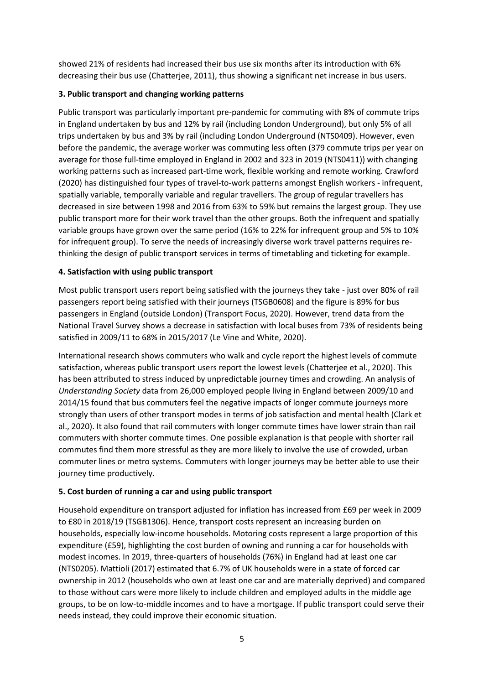showed 21% of residents had increased their bus use six months after its introduction with 6% decreasing their bus use (Chatterjee, 2011), thus showing a significant net increase in bus users.

## **3. Public transport and changing working patterns**

Public transport was particularly important pre-pandemic for commuting with 8% of commute trips in England undertaken by bus and 12% by rail (including London Underground), but only 5% of all trips undertaken by bus and 3% by rail (including London Underground (NTS0409). However, even before the pandemic, the average worker was commuting less often (379 commute trips per year on average for those full-time employed in England in 2002 and 323 in 2019 (NTS0411)) with changing working patterns such as increased part-time work, flexible working and remote working. Crawford (2020) has distinguished four types of travel-to-work patterns amongst English workers - infrequent, spatially variable, temporally variable and regular travellers. The group of regular travellers has decreased in size between 1998 and 2016 from 63% to 59% but remains the largest group. They use public transport more for their work travel than the other groups. Both the infrequent and spatially variable groups have grown over the same period (16% to 22% for infrequent group and 5% to 10% for infrequent group). To serve the needs of increasingly diverse work travel patterns requires rethinking the design of public transport services in terms of timetabling and ticketing for example.

# **4. Satisfaction with using public transport**

Most public transport users report being satisfied with the journeys they take - just over 80% of rail passengers report being satisfied with their journeys (TSGB0608) and the figure is 89% for bus passengers in England (outside London) (Transport Focus, 2020). However, trend data from the National Travel Survey shows a decrease in satisfaction with local buses from 73% of residents being satisfied in 2009/11 to 68% in 2015/2017 (Le Vine and White, 2020).

International research shows commuters who walk and cycle report the highest levels of commute satisfaction, whereas public transport users report the lowest levels (Chatterjee et al., 2020). This has been attributed to stress induced by unpredictable journey times and crowding. An analysis of *Understanding Society* data from 26,000 employed people living in England between 2009/10 and 2014/15 found that bus commuters feel the negative impacts of longer commute journeys more strongly than users of other transport modes in terms of job satisfaction and mental health (Clark et al., 2020). It also found that rail commuters with longer commute times have lower strain than rail commuters with shorter commute times. One possible explanation is that people with shorter rail commutes find them more stressful as they are more likely to involve the use of crowded, urban commuter lines or metro systems. Commuters with longer journeys may be better able to use their journey time productively.

# **5. Cost burden of running a car and using public transport**

Household expenditure on transport adjusted for inflation has increased from £69 per week in 2009 to £80 in 2018/19 (TSGB1306). Hence, transport costs represent an increasing burden on households, especially low-income households. Motoring costs represent a large proportion of this expenditure (£59), highlighting the cost burden of owning and running a car for households with modest incomes. In 2019, three-quarters of households (76%) in England had at least one car (NTS0205). Mattioli (2017) estimated that 6.7% of UK households were in a state of forced car ownership in 2012 (households who own at least one car and are materially deprived) and compared to those without cars were more likely to include children and employed adults in the middle age groups, to be on low-to-middle incomes and to have a mortgage. If public transport could serve their needs instead, they could improve their economic situation.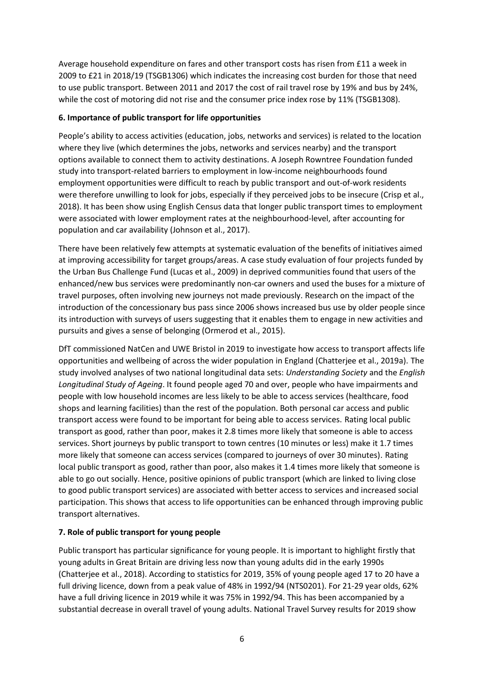Average household expenditure on fares and other transport costs has risen from £11 a week in 2009 to £21 in 2018/19 (TSGB1306) which indicates the increasing cost burden for those that need to use public transport. Between 2011 and 2017 the cost of rail travel rose by 19% and bus by 24%, while the cost of motoring did not rise and the consumer price index rose by 11% (TSGB1308).

#### **6. Importance of public transport for life opportunities**

People's ability to access activities (education, jobs, networks and services) is related to the location where they live (which determines the jobs, networks and services nearby) and the transport options available to connect them to activity destinations. A Joseph Rowntree Foundation funded study into transport-related barriers to employment in low-income neighbourhoods found employment opportunities were difficult to reach by public transport and out-of-work residents were therefore unwilling to look for jobs, especially if they perceived jobs to be insecure (Crisp et al., 2018). It has been show using English Census data that longer public transport times to employment were associated with lower employment rates at the neighbourhood-level, after accounting for population and car availability (Johnson et al., 2017).

There have been relatively few attempts at systematic evaluation of the benefits of initiatives aimed at improving accessibility for target groups/areas. A case study evaluation of four projects funded by the Urban Bus Challenge Fund (Lucas et al., 2009) in deprived communities found that users of the enhanced/new bus services were predominantly non-car owners and used the buses for a mixture of travel purposes, often involving new journeys not made previously. Research on the impact of the introduction of the concessionary bus pass since 2006 shows increased bus use by older people since its introduction with surveys of users suggesting that it enables them to engage in new activities and pursuits and gives a sense of belonging (Ormerod et al., 2015).

DfT commissioned NatCen and UWE Bristol in 2019 to investigate how access to transport affects life opportunities and wellbeing of across the wider population in England (Chatterjee et al., 2019a). The study involved analyses of two national longitudinal data sets: *Understanding Society* and the *English Longitudinal Study of Ageing*. It found people aged 70 and over, people who have impairments and people with low household incomes are less likely to be able to access services (healthcare, food shops and learning facilities) than the rest of the population. Both personal car access and public transport access were found to be important for being able to access services. Rating local public transport as good, rather than poor, makes it 2.8 times more likely that someone is able to access services. Short journeys by public transport to town centres (10 minutes or less) make it 1.7 times more likely that someone can access services (compared to journeys of over 30 minutes). Rating local public transport as good, rather than poor, also makes it 1.4 times more likely that someone is able to go out socially. Hence, positive opinions of public transport (which are linked to living close to good public transport services) are associated with better access to services and increased social participation. This shows that access to life opportunities can be enhanced through improving public transport alternatives.

## **7. Role of public transport for young people**

Public transport has particular significance for young people. It is important to highlight firstly that young adults in Great Britain are driving less now than young adults did in the early 1990s (Chatterjee et al., 2018). According to statistics for 2019, 35% of young people aged 17 to 20 have a full driving licence, down from a peak value of 48% in 1992/94 (NTS0201). For 21-29 year olds, 62% have a full driving licence in 2019 while it was 75% in 1992/94. This has been accompanied by a substantial decrease in overall travel of young adults. National Travel Survey results for 2019 show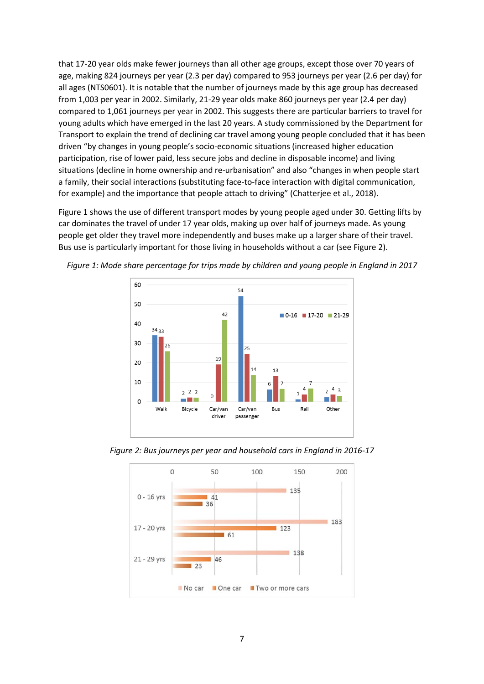that 17-20 year olds make fewer journeys than all other age groups, except those over 70 years of age, making 824 journeys per year (2.3 per day) compared to 953 journeys per year (2.6 per day) for all ages (NTS0601). It is notable that the number of journeys made by this age group has decreased from 1,003 per year in 2002. Similarly, 21-29 year olds make 860 journeys per year (2.4 per day) compared to 1,061 journeys per year in 2002. This suggests there are particular barriers to travel for young adults which have emerged in the last 20 years. A study commissioned by the Department for Transport to explain the trend of declining car travel among young people concluded that it has been driven "by changes in young people's socio-economic situations (increased higher education participation, rise of lower paid, less secure jobs and decline in disposable income) and living situations (decline in home ownership and re-urbanisation" and also "changes in when people start a family, their social interactions (substituting face-to-face interaction with digital communication, for example) and the importance that people attach to driving" (Chatterjee et al., 2018).

Figure 1 shows the use of different transport modes by young people aged under 30. Getting lifts by car dominates the travel of under 17 year olds, making up over half of journeys made. As young people get older they travel more independently and buses make up a larger share of their travel. Bus use is particularly important for those living in households without a car (see Figure 2).



*Figure 1: Mode share percentage for trips made by children and young people in England in 2017*



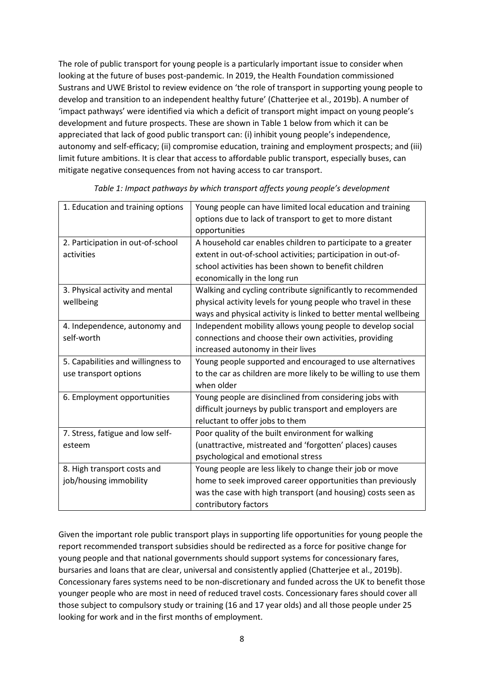The role of public transport for young people is a particularly important issue to consider when looking at the future of buses post-pandemic. In 2019, the Health Foundation commissioned Sustrans and UWE Bristol to review evidence on 'the role of transport in supporting young people to develop and transition to an independent healthy future' (Chatterjee et al., 2019b). A number of 'impact pathways' were identified via which a deficit of transport might impact on young people's development and future prospects. These are shown in Table 1 below from which it can be appreciated that lack of good public transport can: (i) inhibit young people's independence, autonomy and self-efficacy; (ii) compromise education, training and employment prospects; and (iii) limit future ambitions. It is clear that access to affordable public transport, especially buses, can mitigate negative consequences from not having access to car transport.

| 1. Education and training options  | Young people can have limited local education and training       |
|------------------------------------|------------------------------------------------------------------|
|                                    | options due to lack of transport to get to more distant          |
|                                    | opportunities                                                    |
| 2. Participation in out-of-school  | A household car enables children to participate to a greater     |
| activities                         | extent in out-of-school activities; participation in out-of-     |
|                                    | school activities has been shown to benefit children             |
|                                    | economically in the long run                                     |
| 3. Physical activity and mental    | Walking and cycling contribute significantly to recommended      |
| wellbeing                          | physical activity levels for young people who travel in these    |
|                                    | ways and physical activity is linked to better mental wellbeing  |
| 4. Independence, autonomy and      | Independent mobility allows young people to develop social       |
| self-worth                         | connections and choose their own activities, providing           |
|                                    | increased autonomy in their lives                                |
| 5. Capabilities and willingness to | Young people supported and encouraged to use alternatives        |
| use transport options              | to the car as children are more likely to be willing to use them |
|                                    | when older                                                       |
| 6. Employment opportunities        | Young people are disinclined from considering jobs with          |
|                                    | difficult journeys by public transport and employers are         |
|                                    | reluctant to offer jobs to them                                  |
| 7. Stress, fatigue and low self-   | Poor quality of the built environment for walking                |
| esteem                             | (unattractive, mistreated and 'forgotten' places) causes         |
|                                    | psychological and emotional stress                               |
| 8. High transport costs and        | Young people are less likely to change their job or move         |
| job/housing immobility             | home to seek improved career opportunities than previously       |
|                                    | was the case with high transport (and housing) costs seen as     |
|                                    | contributory factors                                             |
|                                    |                                                                  |

*Table 1: Impact pathways by which transport affects young people's development*

Given the important role public transport plays in supporting life opportunities for young people the report recommended transport subsidies should be redirected as a force for positive change for young people and that national governments should support systems for concessionary fares, bursaries and loans that are clear, universal and consistently applied (Chatterjee et al., 2019b). Concessionary fares systems need to be non-discretionary and funded across the UK to benefit those younger people who are most in need of reduced travel costs. Concessionary fares should cover all those subject to compulsory study or training (16 and 17 year olds) and all those people under 25 looking for work and in the first months of employment.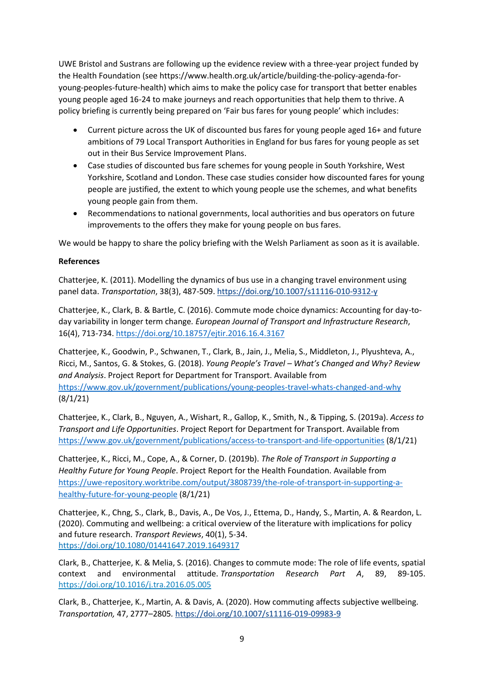UWE Bristol and Sustrans are following up the evidence review with a three-year project funded by the Health Foundation (see https://www.health.org.uk/article/building-the-policy-agenda-foryoung-peoples-future-health) which aims to make the policy case for transport that better enables young people aged 16-24 to make journeys and reach opportunities that help them to thrive. A policy briefing is currently being prepared on 'Fair bus fares for young people' which includes:

- Current picture across the UK of discounted bus fares for young people aged 16+ and future ambitions of 79 Local Transport Authorities in England for bus fares for young people as set out in their Bus Service Improvement Plans.
- Case studies of discounted bus fare schemes for young people in South Yorkshire, West Yorkshire, Scotland and London. These case studies consider how discounted fares for young people are justified, the extent to which young people use the schemes, and what benefits young people gain from them.
- Recommendations to national governments, local authorities and bus operators on future improvements to the offers they make for young people on bus fares.

We would be happy to share the policy briefing with the Welsh Parliament as soon as it is available.

#### **References**

Chatterjee, K. (2011). Modelling the dynamics of bus use in a changing travel environment using panel data. *Transportation*, 38(3), 487-509. <https://doi.org/10.1007/s11116-010-9312-y>

Chatterjee, K., Clark, B. & Bartle, C. (2016). Commute mode choice dynamics: Accounting for day-today variability in longer term change*. European Journal of Transport and Infrastructure Research*, 16(4), 713-734. <https://doi.org/10.18757/ejtir.2016.16.4.3167>

Chatterjee, K., Goodwin, P., Schwanen, T., Clark, B., Jain, J., Melia, S., Middleton, J., Plyushteva, A., Ricci, M., Santos, G. & Stokes, G. (2018). *Young People's Travel – What's Changed and Why? Review and Analysis*. Project Report for Department for Transport. Available from <https://www.gov.uk/government/publications/young-peoples-travel-whats-changed-and-why> (8/1/21)

Chatterjee, K., Clark, B., Nguyen, A., Wishart, R., Gallop, K., Smith, N., & Tipping, S. (2019a). *Access to Transport and Life Opportunities*. Project Report for Department for Transport. Available from <https://www.gov.uk/government/publications/access-to-transport-and-life-opportunities> (8/1/21)

Chatterjee, K., Ricci, M., Cope, A., & Corner, D. (2019b). *The Role of Transport in Supporting a Healthy Future for Young People*. Project Report for the Health Foundation. Available from [https://uwe-repository.worktribe.com/output/3808739/the-role-of-transport-in-supporting-a](https://uwe-repository.worktribe.com/output/3808739/the-role-of-transport-in-supporting-a-healthy-future-for-young-people)[healthy-future-for-young-people](https://uwe-repository.worktribe.com/output/3808739/the-role-of-transport-in-supporting-a-healthy-future-for-young-people) (8/1/21)

Chatterjee, K., Chng, S., Clark, B., Davis, A., De Vos, J., Ettema, D., Handy, S., Martin, A. & Reardon, L. (2020). Commuting and wellbeing: a critical overview of the literature with implications for policy and future research. *Transport Reviews*, 40(1), 5-34. <https://doi.org/10.1080/01441647.2019.1649317>

Clark, B., Chatterjee, K. & Melia, S. (2016). Changes to commute mode: The role of life events, spatial context and environmental attitude. *Transportation Research Part A*, 89, 89-105. <https://doi.org/10.1016/j.tra.2016.05.005>

Clark, B., Chatterjee, K., Martin, A. & Davis, A. (2020). How commuting affects subjective wellbeing. *Transportation,* 47, 2777–2805*.* <https://doi.org/10.1007/s11116-019-09983-9>